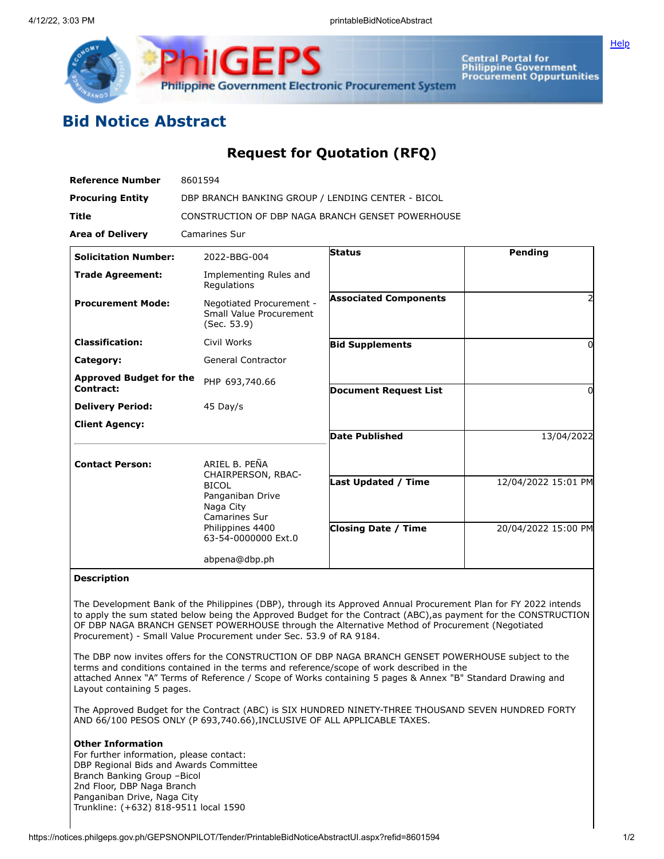

Central Portal for<br>Philippine Government<br>Procurement Oppurtunities

## **Bid Notice Abstract**

## **Request for Quotation (RFQ)**

| <b>Reference Number</b>                     | 8601594                                                                                                                                          |                                                          |                                            |
|---------------------------------------------|--------------------------------------------------------------------------------------------------------------------------------------------------|----------------------------------------------------------|--------------------------------------------|
| <b>Procuring Entity</b>                     | DBP BRANCH BANKING GROUP / LENDING CENTER - BICOL                                                                                                |                                                          |                                            |
| <b>Title</b>                                | CONSTRUCTION OF DBP NAGA BRANCH GENSET POWERHOUSE                                                                                                |                                                          |                                            |
| <b>Area of Delivery</b>                     | <b>Camarines Sur</b>                                                                                                                             |                                                          |                                            |
| <b>Solicitation Number:</b>                 | 2022-BBG-004                                                                                                                                     | <b>Status</b>                                            | Pending                                    |
| <b>Trade Agreement:</b>                     | Implementing Rules and<br>Regulations                                                                                                            |                                                          |                                            |
| <b>Procurement Mode:</b>                    | Negotiated Procurement -<br>Small Value Procurement<br>(Sec. 53.9)                                                                               | <b>Associated Components</b>                             |                                            |
| <b>Classification:</b>                      | Civil Works                                                                                                                                      | <b>Bid Supplements</b>                                   | 0                                          |
| Category:                                   | <b>General Contractor</b>                                                                                                                        |                                                          |                                            |
| <b>Approved Budget for the</b><br>Contract: | PHP 693,740.66                                                                                                                                   | <b>Document Request List</b>                             | 0                                          |
| <b>Delivery Period:</b>                     | 45 Day/s                                                                                                                                         |                                                          |                                            |
| <b>Client Agency:</b>                       |                                                                                                                                                  |                                                          |                                            |
|                                             |                                                                                                                                                  | <b>Date Published</b>                                    | 13/04/2022                                 |
| <b>Contact Person:</b>                      | ARIEL B. PEÑA<br>CHAIRPERSON, RBAC-<br><b>BICOL</b><br>Panganiban Drive<br>Naga City<br>Camarines Sur<br>Philippines 4400<br>63-54-0000000 Ext.0 | <b>Last Updated / Time</b><br><b>Closing Date / Time</b> | 12/04/2022 15:01 PM<br>20/04/2022 15:00 PM |
|                                             | abpena@dbp.ph                                                                                                                                    |                                                          |                                            |

## **Description**

The Development Bank of the Philippines (DBP), through its Approved Annual Procurement Plan for FY 2022 intends to apply the sum stated below being the Approved Budget for the Contract (ABC),as payment for the CONSTRUCTION OF DBP NAGA BRANCH GENSET POWERHOUSE through the Alternative Method of Procurement (Negotiated Procurement) - Small Value Procurement under Sec. 53.9 of RA 9184.

The DBP now invites offers for the CONSTRUCTION OF DBP NAGA BRANCH GENSET POWERHOUSE subject to the terms and conditions contained in the terms and reference/scope of work described in the attached Annex "A" Terms of Reference / Scope of Works containing 5 pages & Annex "B" Standard Drawing and Layout containing 5 pages.

The Approved Budget for the Contract (ABC) is SIX HUNDRED NINETY-THREE THOUSAND SEVEN HUNDRED FORTY AND 66/100 PESOS ONLY (P 693,740.66),INCLUSIVE OF ALL APPLICABLE TAXES.

## **Other Information**

For further information, please contact: DBP Regional Bids and Awards Committee Branch Banking Group –Bicol 2nd Floor, DBP Naga Branch Panganiban Drive, Naga City Trunkline: (+632) 818-9511 local 1590

**[Help](javascript:void(window.open()**